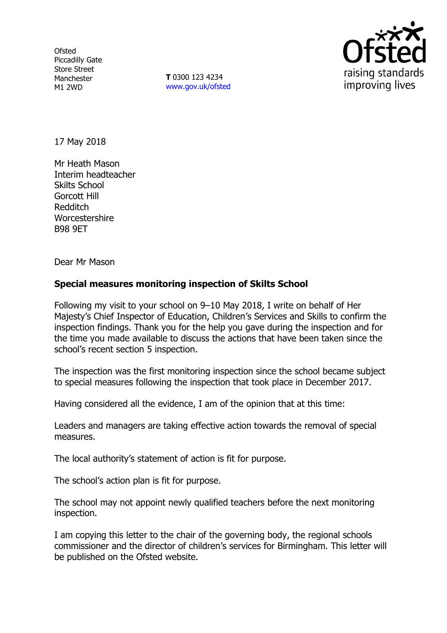**Ofsted** Piccadilly Gate Store Street Manchester M1 2WD

**T** 0300 123 4234 www.gov.uk/ofsted



17 May 2018

Mr Heath Mason Interim headteacher Skilts School Gorcott Hill Redditch Worcestershire B98 9ET

Dear Mr Mason

## **Special measures monitoring inspection of Skilts School**

Following my visit to your school on 9–10 May 2018, I write on behalf of Her Majesty's Chief Inspector of Education, Children's Services and Skills to confirm the inspection findings. Thank you for the help you gave during the inspection and for the time you made available to discuss the actions that have been taken since the school's recent section 5 inspection.

The inspection was the first monitoring inspection since the school became subject to special measures following the inspection that took place in December 2017.

Having considered all the evidence, I am of the opinion that at this time:

Leaders and managers are taking effective action towards the removal of special measures.

The local authority's statement of action is fit for purpose.

The school's action plan is fit for purpose.

The school may not appoint newly qualified teachers before the next monitoring inspection.

I am copying this letter to the chair of the governing body, the regional schools commissioner and the director of children's services for Birmingham. This letter will be published on the Ofsted website.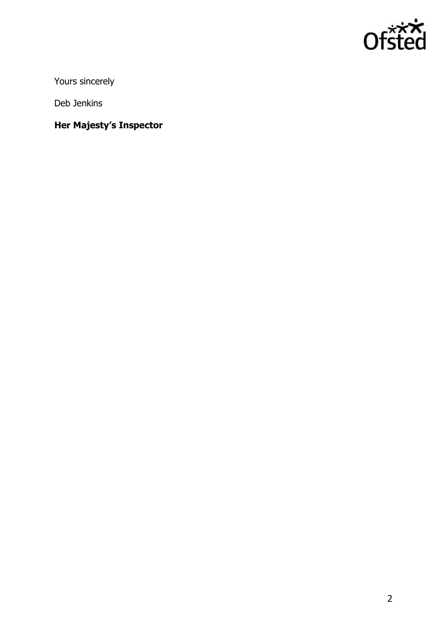

Yours sincerely

Deb Jenkins

**Her Majesty's Inspector**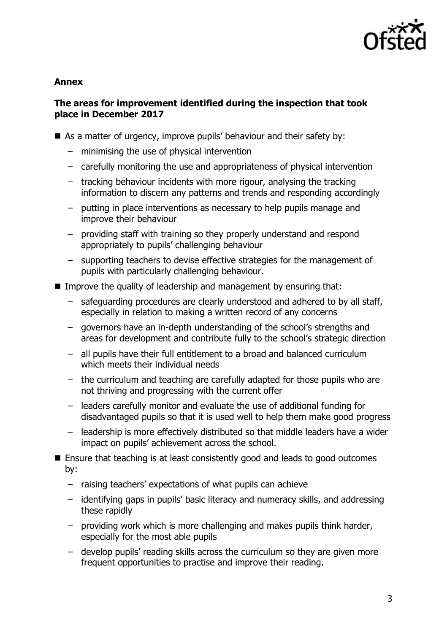

## **Annex**

# **The areas for improvement identified during the inspection that took place in December 2017**

- As a matter of urgency, improve pupils' behaviour and their safety by:
	- minimising the use of physical intervention
	- carefully monitoring the use and appropriateness of physical intervention
	- tracking behaviour incidents with more rigour, analysing the tracking information to discern any patterns and trends and responding accordingly
	- putting in place interventions as necessary to help pupils manage and improve their behaviour
	- providing staff with training so they properly understand and respond appropriately to pupils' challenging behaviour
	- supporting teachers to devise effective strategies for the management of pupils with particularly challenging behaviour.
- Improve the quality of leadership and management by ensuring that:
	- safeguarding procedures are clearly understood and adhered to by all staff, especially in relation to making a written record of any concerns
	- governors have an in-depth understanding of the school's strengths and areas for development and contribute fully to the school's strategic direction
	- all pupils have their full entitlement to a broad and balanced curriculum which meets their individual needs
	- the curriculum and teaching are carefully adapted for those pupils who are not thriving and progressing with the current offer
	- leaders carefully monitor and evaluate the use of additional funding for disadvantaged pupils so that it is used well to help them make good progress
	- leadership is more effectively distributed so that middle leaders have a wider impact on pupils' achievement across the school.
- Ensure that teaching is at least consistently good and leads to good outcomes by:
	- raising teachers' expectations of what pupils can achieve
	- identifying gaps in pupils' basic literacy and numeracy skills, and addressing these rapidly
	- providing work which is more challenging and makes pupils think harder, especially for the most able pupils
	- develop pupils' reading skills across the curriculum so they are given more frequent opportunities to practise and improve their reading.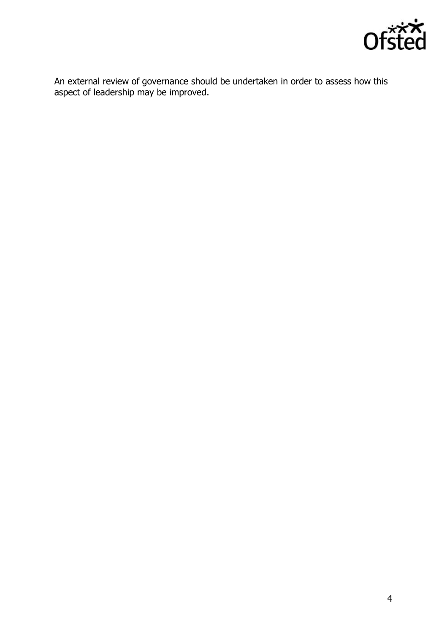

An external review of governance should be undertaken in order to assess how this aspect of leadership may be improved.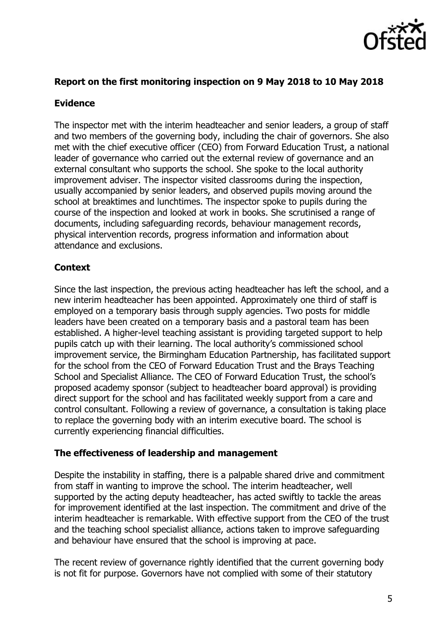

## **Report on the first monitoring inspection on 9 May 2018 to 10 May 2018**

## **Evidence**

The inspector met with the interim headteacher and senior leaders, a group of staff and two members of the governing body, including the chair of governors. She also met with the chief executive officer (CEO) from Forward Education Trust, a national leader of governance who carried out the external review of governance and an external consultant who supports the school. She spoke to the local authority improvement adviser. The inspector visited classrooms during the inspection, usually accompanied by senior leaders, and observed pupils moving around the school at breaktimes and lunchtimes. The inspector spoke to pupils during the course of the inspection and looked at work in books. She scrutinised a range of documents, including safeguarding records, behaviour management records, physical intervention records, progress information and information about attendance and exclusions.

## **Context**

Since the last inspection, the previous acting headteacher has left the school, and a new interim headteacher has been appointed. Approximately one third of staff is employed on a temporary basis through supply agencies. Two posts for middle leaders have been created on a temporary basis and a pastoral team has been established. A higher-level teaching assistant is providing targeted support to help pupils catch up with their learning. The local authority's commissioned school improvement service, the Birmingham Education Partnership, has facilitated support for the school from the CEO of Forward Education Trust and the Brays Teaching School and Specialist Alliance. The CEO of Forward Education Trust, the school's proposed academy sponsor (subject to headteacher board approval) is providing direct support for the school and has facilitated weekly support from a care and control consultant. Following a review of governance, a consultation is taking place to replace the governing body with an interim executive board. The school is currently experiencing financial difficulties.

#### **The effectiveness of leadership and management**

Despite the instability in staffing, there is a palpable shared drive and commitment from staff in wanting to improve the school. The interim headteacher, well supported by the acting deputy headteacher, has acted swiftly to tackle the areas for improvement identified at the last inspection. The commitment and drive of the interim headteacher is remarkable. With effective support from the CEO of the trust and the teaching school specialist alliance, actions taken to improve safeguarding and behaviour have ensured that the school is improving at pace.

The recent review of governance rightly identified that the current governing body is not fit for purpose. Governors have not complied with some of their statutory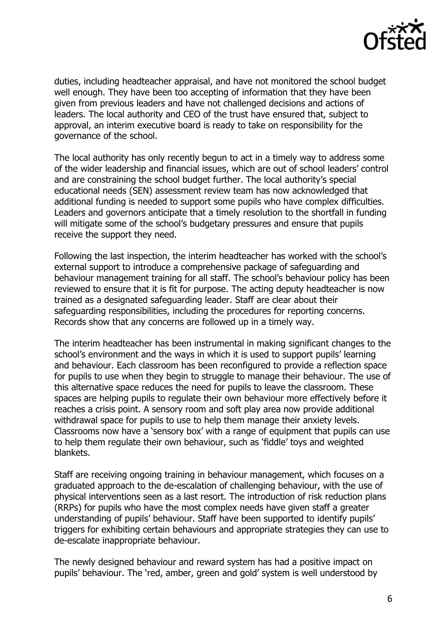

duties, including headteacher appraisal, and have not monitored the school budget well enough. They have been too accepting of information that they have been given from previous leaders and have not challenged decisions and actions of leaders. The local authority and CEO of the trust have ensured that, subject to approval, an interim executive board is ready to take on responsibility for the governance of the school.

The local authority has only recently begun to act in a timely way to address some of the wider leadership and financial issues, which are out of school leaders' control and are constraining the school budget further. The local authority's special educational needs (SEN) assessment review team has now acknowledged that additional funding is needed to support some pupils who have complex difficulties. Leaders and governors anticipate that a timely resolution to the shortfall in funding will mitigate some of the school's budgetary pressures and ensure that pupils receive the support they need.

Following the last inspection, the interim headteacher has worked with the school's external support to introduce a comprehensive package of safeguarding and behaviour management training for all staff. The school's behaviour policy has been reviewed to ensure that it is fit for purpose. The acting deputy headteacher is now trained as a designated safeguarding leader. Staff are clear about their safeguarding responsibilities, including the procedures for reporting concerns. Records show that any concerns are followed up in a timely way.

The interim headteacher has been instrumental in making significant changes to the school's environment and the ways in which it is used to support pupils' learning and behaviour. Each classroom has been reconfigured to provide a reflection space for pupils to use when they begin to struggle to manage their behaviour. The use of this alternative space reduces the need for pupils to leave the classroom. These spaces are helping pupils to regulate their own behaviour more effectively before it reaches a crisis point. A sensory room and soft play area now provide additional withdrawal space for pupils to use to help them manage their anxiety levels. Classrooms now have a 'sensory box' with a range of equipment that pupils can use to help them regulate their own behaviour, such as 'fiddle' toys and weighted blankets.

Staff are receiving ongoing training in behaviour management, which focuses on a graduated approach to the de-escalation of challenging behaviour, with the use of physical interventions seen as a last resort. The introduction of risk reduction plans (RRPs) for pupils who have the most complex needs have given staff a greater understanding of pupils' behaviour. Staff have been supported to identify pupils' triggers for exhibiting certain behaviours and appropriate strategies they can use to de-escalate inappropriate behaviour.

The newly designed behaviour and reward system has had a positive impact on pupils' behaviour. The 'red, amber, green and gold' system is well understood by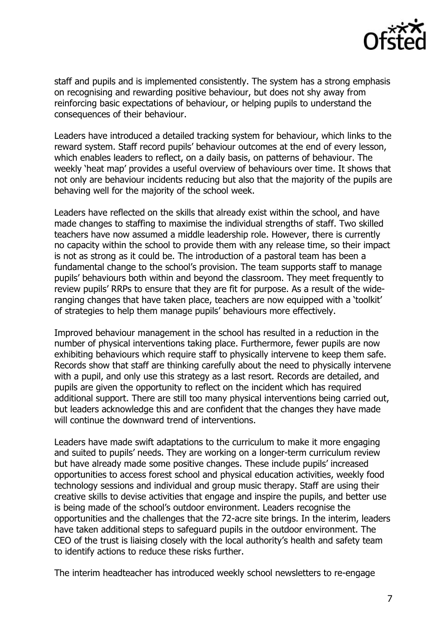

staff and pupils and is implemented consistently. The system has a strong emphasis on recognising and rewarding positive behaviour, but does not shy away from reinforcing basic expectations of behaviour, or helping pupils to understand the consequences of their behaviour.

Leaders have introduced a detailed tracking system for behaviour, which links to the reward system. Staff record pupils' behaviour outcomes at the end of every lesson, which enables leaders to reflect, on a daily basis, on patterns of behaviour. The weekly 'heat map' provides a useful overview of behaviours over time. It shows that not only are behaviour incidents reducing but also that the majority of the pupils are behaving well for the majority of the school week.

Leaders have reflected on the skills that already exist within the school, and have made changes to staffing to maximise the individual strengths of staff. Two skilled teachers have now assumed a middle leadership role. However, there is currently no capacity within the school to provide them with any release time, so their impact is not as strong as it could be. The introduction of a pastoral team has been a fundamental change to the school's provision. The team supports staff to manage pupils' behaviours both within and beyond the classroom. They meet frequently to review pupils' RRPs to ensure that they are fit for purpose. As a result of the wideranging changes that have taken place, teachers are now equipped with a 'toolkit' of strategies to help them manage pupils' behaviours more effectively.

Improved behaviour management in the school has resulted in a reduction in the number of physical interventions taking place. Furthermore, fewer pupils are now exhibiting behaviours which require staff to physically intervene to keep them safe. Records show that staff are thinking carefully about the need to physically intervene with a pupil, and only use this strategy as a last resort. Records are detailed, and pupils are given the opportunity to reflect on the incident which has required additional support. There are still too many physical interventions being carried out, but leaders acknowledge this and are confident that the changes they have made will continue the downward trend of interventions.

Leaders have made swift adaptations to the curriculum to make it more engaging and suited to pupils' needs. They are working on a longer-term curriculum review but have already made some positive changes. These include pupils' increased opportunities to access forest school and physical education activities, weekly food technology sessions and individual and group music therapy. Staff are using their creative skills to devise activities that engage and inspire the pupils, and better use is being made of the school's outdoor environment. Leaders recognise the opportunities and the challenges that the 72-acre site brings. In the interim, leaders have taken additional steps to safeguard pupils in the outdoor environment. The CEO of the trust is liaising closely with the local authority's health and safety team to identify actions to reduce these risks further.

The interim headteacher has introduced weekly school newsletters to re-engage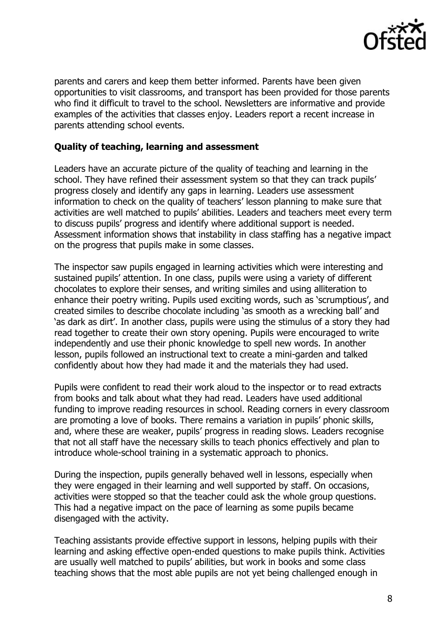

parents and carers and keep them better informed. Parents have been given opportunities to visit classrooms, and transport has been provided for those parents who find it difficult to travel to the school. Newsletters are informative and provide examples of the activities that classes enjoy. Leaders report a recent increase in parents attending school events.

### **Quality of teaching, learning and assessment**

Leaders have an accurate picture of the quality of teaching and learning in the school. They have refined their assessment system so that they can track pupils' progress closely and identify any gaps in learning. Leaders use assessment information to check on the quality of teachers' lesson planning to make sure that activities are well matched to pupils' abilities. Leaders and teachers meet every term to discuss pupils' progress and identify where additional support is needed. Assessment information shows that instability in class staffing has a negative impact on the progress that pupils make in some classes.

The inspector saw pupils engaged in learning activities which were interesting and sustained pupils' attention. In one class, pupils were using a variety of different chocolates to explore their senses, and writing similes and using alliteration to enhance their poetry writing. Pupils used exciting words, such as 'scrumptious', and created similes to describe chocolate including 'as smooth as a wrecking ball' and 'as dark as dirt'. In another class, pupils were using the stimulus of a story they had read together to create their own story opening. Pupils were encouraged to write independently and use their phonic knowledge to spell new words. In another lesson, pupils followed an instructional text to create a mini-garden and talked confidently about how they had made it and the materials they had used.

Pupils were confident to read their work aloud to the inspector or to read extracts from books and talk about what they had read. Leaders have used additional funding to improve reading resources in school. Reading corners in every classroom are promoting a love of books. There remains a variation in pupils' phonic skills, and, where these are weaker, pupils' progress in reading slows. Leaders recognise that not all staff have the necessary skills to teach phonics effectively and plan to introduce whole-school training in a systematic approach to phonics.

During the inspection, pupils generally behaved well in lessons, especially when they were engaged in their learning and well supported by staff. On occasions, activities were stopped so that the teacher could ask the whole group questions. This had a negative impact on the pace of learning as some pupils became disengaged with the activity.

Teaching assistants provide effective support in lessons, helping pupils with their learning and asking effective open-ended questions to make pupils think. Activities are usually well matched to pupils' abilities, but work in books and some class teaching shows that the most able pupils are not yet being challenged enough in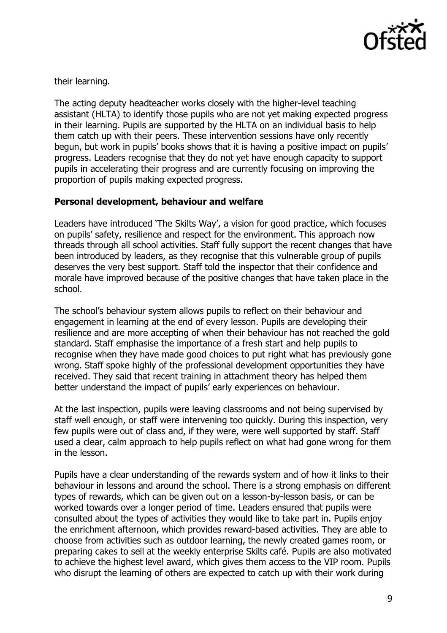

their learning.

The acting deputy headteacher works closely with the higher-level teaching assistant (HLTA) to identify those pupils who are not yet making expected progress in their learning. Pupils are supported by the HLTA on an individual basis to help them catch up with their peers. These intervention sessions have only recently begun, but work in pupils' books shows that it is having a positive impact on pupils' progress. Leaders recognise that they do not yet have enough capacity to support pupils in accelerating their progress and are currently focusing on improving the proportion of pupils making expected progress.

# **Personal development, behaviour and welfare**

Leaders have introduced 'The Skilts Way', a vision for good practice, which focuses on pupils' safety, resilience and respect for the environment. This approach now threads through all school activities. Staff fully support the recent changes that have been introduced by leaders, as they recognise that this vulnerable group of pupils deserves the very best support. Staff told the inspector that their confidence and morale have improved because of the positive changes that have taken place in the school.

The school's behaviour system allows pupils to reflect on their behaviour and engagement in learning at the end of every lesson. Pupils are developing their resilience and are more accepting of when their behaviour has not reached the gold standard. Staff emphasise the importance of a fresh start and help pupils to recognise when they have made good choices to put right what has previously gone wrong. Staff spoke highly of the professional development opportunities they have received. They said that recent training in attachment theory has helped them better understand the impact of pupils' early experiences on behaviour.

At the last inspection, pupils were leaving classrooms and not being supervised by staff well enough, or staff were intervening too quickly. During this inspection, very few pupils were out of class and, if they were, were well supported by staff. Staff used a clear, calm approach to help pupils reflect on what had gone wrong for them in the lesson.

Pupils have a clear understanding of the rewards system and of how it links to their behaviour in lessons and around the school. There is a strong emphasis on different types of rewards, which can be given out on a lesson-by-lesson basis, or can be worked towards over a longer period of time. Leaders ensured that pupils were consulted about the types of activities they would like to take part in. Pupils enjoy the enrichment afternoon, which provides reward-based activities. They are able to choose from activities such as outdoor learning, the newly created games room, or preparing cakes to sell at the weekly enterprise Skilts café. Pupils are also motivated to achieve the highest level award, which gives them access to the VIP room. Pupils who disrupt the learning of others are expected to catch up with their work during